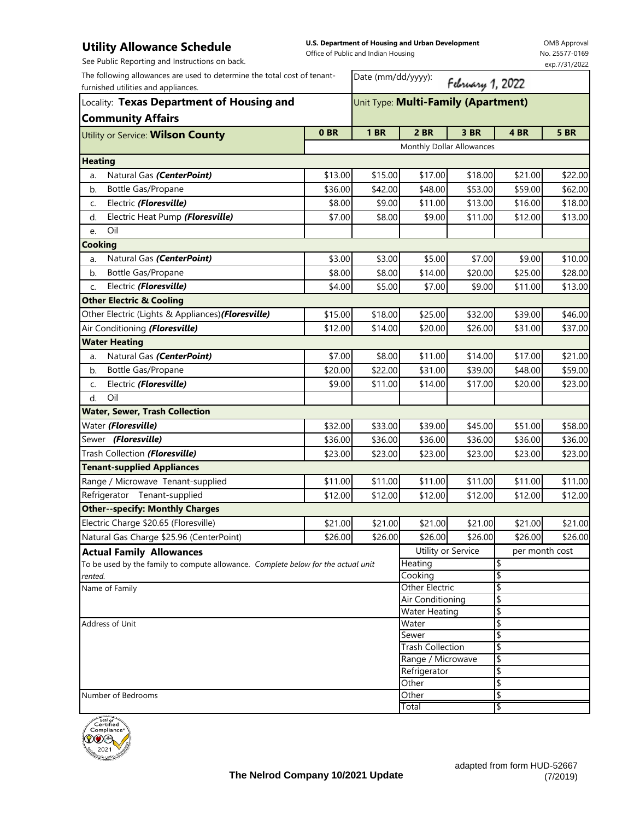## **Utility Allowance Schedule**

**U.S. Department of Housing and Urban Development**  Office of Public and Indian Housing

OMB Approval No. 25577-0169 exp.7/31/2022

| See Public Reporting and Instructions on back.                                                                                                                                           |                 |                                     |                                          |                  |                | exp.7/31/2022 |  |
|------------------------------------------------------------------------------------------------------------------------------------------------------------------------------------------|-----------------|-------------------------------------|------------------------------------------|------------------|----------------|---------------|--|
| The following allowances are used to determine the total cost of tenant-<br>furnished utilities and appliances.<br>Locality: Texas Department of Housing and<br><b>Community Affairs</b> |                 | Date (mm/dd/yyyy):                  |                                          | February 1, 2022 |                |               |  |
|                                                                                                                                                                                          |                 | Unit Type: Multi-Family (Apartment) |                                          |                  |                |               |  |
| Utility or Service: Wilson County                                                                                                                                                        | 0 <sub>BR</sub> | <b>1 BR</b>                         | 2 BR                                     | 3 BR             | 4 BR           | <b>5 BR</b>   |  |
|                                                                                                                                                                                          |                 | Monthly Dollar Allowances           |                                          |                  |                |               |  |
| <b>Heating</b>                                                                                                                                                                           |                 |                                     |                                          |                  |                |               |  |
| Natural Gas (CenterPoint)<br>a.                                                                                                                                                          | \$13.00         | \$15.00                             | \$17.00                                  | \$18.00          | \$21.00        | \$22.00       |  |
| Bottle Gas/Propane<br>b.                                                                                                                                                                 | \$36.00         | \$42.00                             | \$48.00                                  | \$53.00          | \$59.00        | \$62.00       |  |
| Electric (Floresville)<br>C.                                                                                                                                                             | \$8.00          | \$9.00                              | \$11.00                                  | \$13.00          | \$16.00        | \$18.00       |  |
| Electric Heat Pump (Floresville)<br>d.                                                                                                                                                   | \$7.00          | \$8.00                              | \$9.00                                   | \$11.00          | \$12.00        | \$13.00       |  |
| Oil<br>e.                                                                                                                                                                                |                 |                                     |                                          |                  |                |               |  |
| <b>Cooking</b>                                                                                                                                                                           |                 |                                     |                                          |                  |                |               |  |
| Natural Gas (CenterPoint)<br>a.                                                                                                                                                          | \$3.00          | \$3.00                              | \$5.00                                   | \$7.00           | \$9.00         | \$10.00       |  |
| Bottle Gas/Propane<br>b.                                                                                                                                                                 | \$8.00          | \$8.00                              | \$14.00                                  | \$20.00          | \$25.00        | \$28.00       |  |
| Electric (Floresville)<br>c.                                                                                                                                                             | \$4.00          | \$5.00                              | \$7.00                                   | \$9.00           | \$11.00        | \$13.00       |  |
| <b>Other Electric &amp; Cooling</b>                                                                                                                                                      |                 |                                     |                                          |                  |                |               |  |
| Other Electric (Lights & Appliances) (Floresville)                                                                                                                                       | \$15.00         | \$18.00                             | \$25.00                                  | \$32.00          | \$39.00        | \$46.00       |  |
| Air Conditioning (Floresville)                                                                                                                                                           | \$12.00         | \$14.00                             | \$20.00                                  | \$26.00          | \$31.00        | \$37.00       |  |
| <b>Water Heating</b>                                                                                                                                                                     |                 |                                     |                                          |                  |                |               |  |
| Natural Gas (CenterPoint)<br>a.                                                                                                                                                          | \$7.00          | \$8.00                              | \$11.00                                  | \$14.00          | \$17.00        | \$21.00       |  |
| Bottle Gas/Propane<br>b.                                                                                                                                                                 | \$20.00         | \$22.00                             | \$31.00                                  | \$39.00          | \$48.00        | \$59.00       |  |
| Electric (Floresville)<br>C.                                                                                                                                                             | \$9.00          | \$11.00                             | \$14.00                                  | \$17.00          | \$20.00        | \$23.00       |  |
| Oil<br>d.                                                                                                                                                                                |                 |                                     |                                          |                  |                |               |  |
| <b>Water, Sewer, Trash Collection</b>                                                                                                                                                    |                 |                                     |                                          |                  |                |               |  |
| Water (Floresville)                                                                                                                                                                      | \$32.00         | \$33.00                             | \$39.00                                  | \$45.00          | \$51.00        | \$58.00       |  |
| Sewer (Floresville)                                                                                                                                                                      | \$36.00         | \$36.00                             | \$36.00                                  | \$36.00          | \$36.00        | \$36.00       |  |
| Trash Collection (Floresville)                                                                                                                                                           | \$23.00         | \$23.00                             | \$23.00                                  | \$23.00          | \$23.00        | \$23.00       |  |
| <b>Tenant-supplied Appliances</b>                                                                                                                                                        |                 |                                     |                                          |                  |                |               |  |
| Range / Microwave Tenant-supplied                                                                                                                                                        | \$11.00         | \$11.00                             | \$11.00                                  | \$11.00          | \$11.00        | \$11.00       |  |
| Refrigerator Tenant-supplied                                                                                                                                                             | \$12.00         | \$12.00                             | \$12.00                                  | \$12.00          | \$12.00        | \$12.00       |  |
| <b>Other--specify: Monthly Charges</b>                                                                                                                                                   |                 |                                     |                                          |                  |                |               |  |
| Electric Charge \$20.65 (Floresville)                                                                                                                                                    | \$21.00         | \$21.00                             | \$21.00                                  | \$21.00          | \$21.00        | \$21.00       |  |
| Natural Gas Charge \$25.96 (CenterPoint)                                                                                                                                                 | \$26.00         | \$26.00                             | \$26.00                                  | \$26.00          | \$26.00        | \$26.00       |  |
| <b>Actual Family Allowances</b>                                                                                                                                                          |                 |                                     | Utility or Service                       |                  | per month cost |               |  |
| To be used by the family to compute allowance. Complete below for the actual unit                                                                                                        |                 |                                     | Heating                                  |                  | \$             |               |  |
| rented.                                                                                                                                                                                  |                 |                                     | Cooking                                  |                  | \$             |               |  |
| Name of Family                                                                                                                                                                           |                 |                                     | <b>Other Electric</b>                    |                  | \$<br>\$       |               |  |
|                                                                                                                                                                                          |                 |                                     | Air Conditioning<br><b>Water Heating</b> |                  | \$             |               |  |
| Address of Unit                                                                                                                                                                          |                 |                                     | Water                                    |                  | \$             |               |  |
|                                                                                                                                                                                          |                 |                                     | Sewer                                    |                  | \$             |               |  |
|                                                                                                                                                                                          |                 |                                     | <b>Trash Collection</b>                  |                  | \$             |               |  |
|                                                                                                                                                                                          |                 |                                     | Range / Microwave                        |                  | \$             |               |  |
|                                                                                                                                                                                          |                 |                                     | Refrigerator                             |                  | \$             |               |  |
|                                                                                                                                                                                          |                 |                                     | Other<br>Other                           |                  | \$<br>\$       |               |  |
| Number of Bedrooms                                                                                                                                                                       |                 |                                     | Total                                    |                  | \$             |               |  |
| يتنتننن                                                                                                                                                                                  |                 |                                     |                                          |                  |                |               |  |